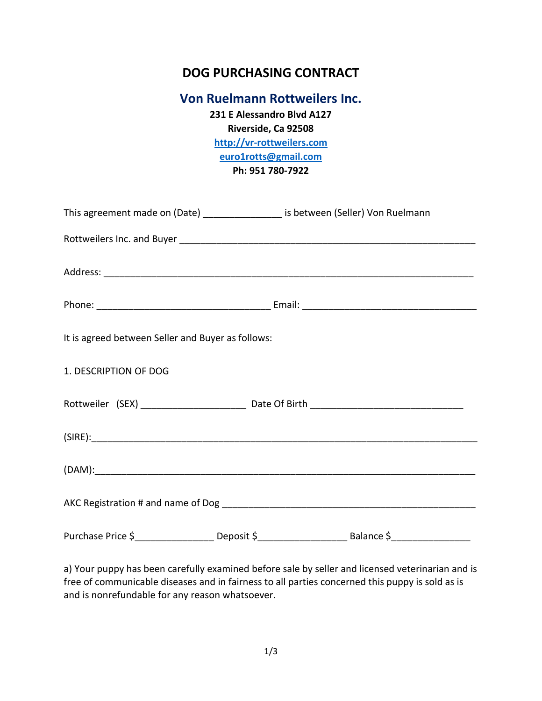# **DOG PURCHASING CONTRACT**

## **Von Ruelmann Rottweilers Inc.**

**231 E Alessandro Blvd A127 Riverside, Ca 92508 [http://vr-rottweilers.com](http://vr-rottweilers.com/) [euro1rotts@gmail.com](mailto:euro1rotts@gmail.com) Ph: 951 780-7922**

| This agreement made on (Date) _________________ is between (Seller) Von Ruelmann |  |                                                                                                                   |  |
|----------------------------------------------------------------------------------|--|-------------------------------------------------------------------------------------------------------------------|--|
|                                                                                  |  |                                                                                                                   |  |
|                                                                                  |  |                                                                                                                   |  |
|                                                                                  |  |                                                                                                                   |  |
| It is agreed between Seller and Buyer as follows:                                |  |                                                                                                                   |  |
| 1. DESCRIPTION OF DOG                                                            |  |                                                                                                                   |  |
|                                                                                  |  |                                                                                                                   |  |
|                                                                                  |  |                                                                                                                   |  |
|                                                                                  |  |                                                                                                                   |  |
|                                                                                  |  |                                                                                                                   |  |
|                                                                                  |  | Purchase Price \$ ___________________ Deposit \$ _________________________________Balance \$ ____________________ |  |

a) Your puppy has been carefully examined before sale by seller and licensed veterinarian and is free of communicable diseases and in fairness to all parties concerned this puppy is sold as is and is nonrefundable for any reason whatsoever.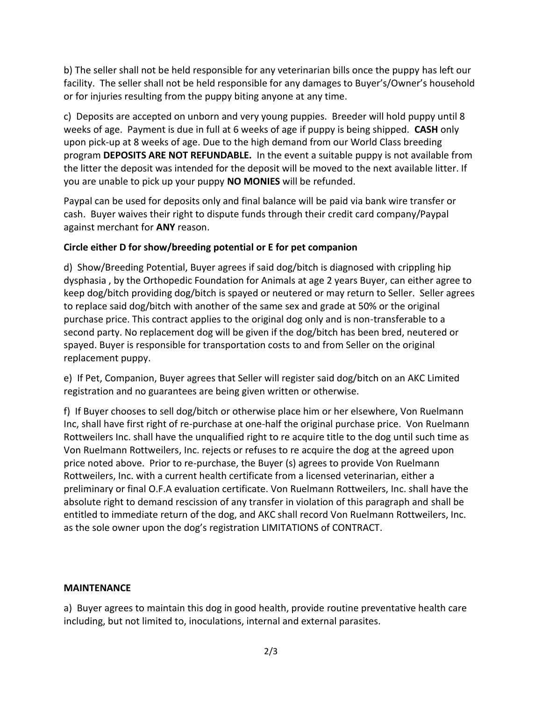b) The seller shall not be held responsible for any veterinarian bills once the puppy has left our facility. The seller shall not be held responsible for any damages to Buyer's/Owner's household or for injuries resulting from the puppy biting anyone at any time.

c) Deposits are accepted on unborn and very young puppies. Breeder will hold puppy until 8 weeks of age. Payment is due in full at 6 weeks of age if puppy is being shipped. **CASH** only upon pick-up at 8 weeks of age. Due to the high demand from our World Class breeding program **DEPOSITS ARE NOT REFUNDABLE.** In the event a suitable puppy is not available from the litter the deposit was intended for the deposit will be moved to the next available litter. If you are unable to pick up your puppy **NO MONIES** will be refunded.

Paypal can be used for deposits only and final balance will be paid via bank wire transfer or cash. Buyer waives their right to dispute funds through their credit card company/Paypal against merchant for **ANY** reason.

### **Circle either D for show/breeding potential or E for pet companion**

d) Show/Breeding Potential, Buyer agrees if said dog/bitch is diagnosed with crippling hip dysphasia , by the Orthopedic Foundation for Animals at age 2 years Buyer, can either agree to keep dog/bitch providing dog/bitch is spayed or neutered or may return to Seller. Seller agrees to replace said dog/bitch with another of the same sex and grade at 50% or the original purchase price. This contract applies to the original dog only and is non-transferable to a second party. No replacement dog will be given if the dog/bitch has been bred, neutered or spayed. Buyer is responsible for transportation costs to and from Seller on the original replacement puppy.

e) If Pet, Companion, Buyer agrees that Seller will register said dog/bitch on an AKC Limited registration and no guarantees are being given written or otherwise.

f) If Buyer chooses to sell dog/bitch or otherwise place him or her elsewhere, Von Ruelmann Inc, shall have first right of re-purchase at one-half the original purchase price. Von Ruelmann Rottweilers Inc. shall have the unqualified right to re acquire title to the dog until such time as Von Ruelmann Rottweilers, Inc. rejects or refuses to re acquire the dog at the agreed upon price noted above. Prior to re-purchase, the Buyer (s) agrees to provide Von Ruelmann Rottweilers, Inc. with a current health certificate from a licensed veterinarian, either a preliminary or final O.F.A evaluation certificate. Von Ruelmann Rottweilers, Inc. shall have the absolute right to demand rescission of any transfer in violation of this paragraph and shall be entitled to immediate return of the dog, and AKC shall record Von Ruelmann Rottweilers, Inc. as the sole owner upon the dog's registration LIMITATIONS of CONTRACT.

### **MAINTENANCE**

a) Buyer agrees to maintain this dog in good health, provide routine preventative health care including, but not limited to, inoculations, internal and external parasites.